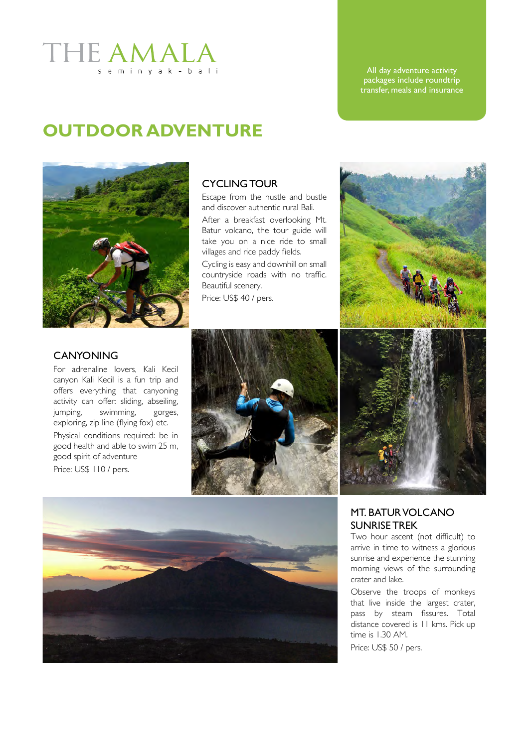### **THE AMAL** seminyak-bali

#### All day adventure activity packages include roundtrip transfer, meals and insurance

# **OUTDOOR ADVENTURE**



#### Cycling tour

Escape from the hustle and bustle and discover authentic rural Bali.

After a breakfast overlooking Mt. Batur volcano, the tour guide will take you on a nice ride to small villages and rice paddy fields.

Cycling is easy and downhill on small countryside roads with no traffic. Beautiful scenery.

Price: US\$ 40 / pers.



#### **CANYONING**

For adrenaline lovers, Kali Kecil canyon Kali Kecil is a fun trip and offers everything that canyoning activity can offer: sliding, abseiling, jumping, swimming, gorges, exploring, zip line (flying fox) etc. Physical conditions required: be in good health and able to swim 25 m, good spirit of adventure Price: US\$ 110 / pers.







### Mt. Batur volcano sunrise trek

Two hour ascent (not difficult) to arrive in time to witness a glorious sunrise and experience the stunning morning views of the surrounding crater and lake.

Observe the troops of monkeys that live inside the largest crater, pass by steam fissures. Total distance covered is 11 kms. Pick up time is 1.30 AM.

Price: US\$ 50 / pers.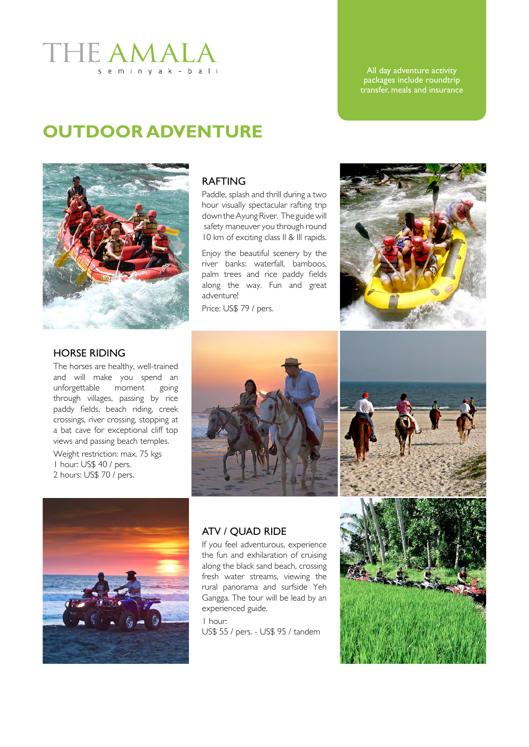### THE AMAI seminyak-bali

#### All day adventure activity packages include roundtrip transfer, meals and insurance

## **OUTDOOR ADVENTURE**



### **RAFTING**

Paddle, splash and thrill during a two hour visually spectacular rafting trip down the Ayung River. The guide will safety maneuver you through round 10 km of exciting class II & III rapids.

Enjoy the beautiful scenery by the river banks: waterfall, bamboos, palm trees and rice paddy fields along the way. Fun and great adventure!

Price: US\$ 79 / pers.



#### Horse riding

The horses are healthy, well-trained and will make you spend an unforgettable moment going through villages, passing by rice paddy fields, beach riding, creek crossings, river crossing, stopping at a bat cave for exceptional cliff top views and passing beach temples.

Weight restriction: max. 75 kgs 1 hour: US\$ 40 / pers. 2 hours: US\$ 70 / pers.





#### ATV / QUAD RIDE

If you feel adventurous, experience the fun and exhilaration of cruising along the black sand beach, crossing fresh water streams, viewing the rural panorama and surfside Yeh Gangga. The tour will be lead by an experienced guide.

1 hour: US\$ 55 / pers. - US\$ 95 / tandem

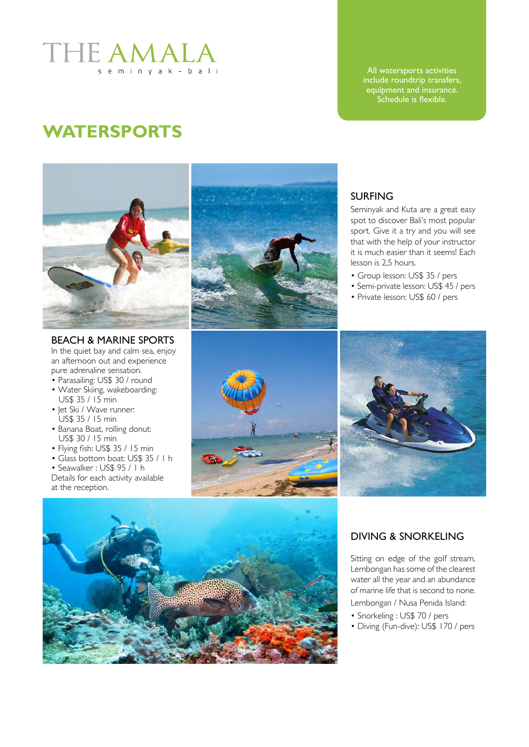

All watersports activities include roundtrip transfers, equipment and insurance. Schedule is flexible.

## **Watersports**



Beach & Marine sports In the quiet bay and calm sea, enjoy an afternoon out and experience pure adrenaline sensation.

- Parasailing: US\$ 30 / round
- Water Skiing, wakeboarding: US\$ 35 / 15 min
- Jet Ski / Wave runner: US\$ 35 / 15 min
- Banana Boat, rolling donut: US\$ 30 / 15 min
- Flying fish: US\$ 35 / 15 min
- Glass bottom boat: US\$ 35 / 1 h
- Seawalker : US\$ 95 / 1 h Details for each activity available at the reception.



#### **SURFING**

Seminyak and Kuta are a great easy spot to discover Bali's most popular sport. Give it a try and you will see that with the help of your instructor it is much easier than it seems! Each lesson is 2,5 hours.

- Group lesson: US\$ 35 / pers
- Semi-private lesson: US\$ 45 / pers
- Private lesson: US\$ 60 / pers







#### Diving & Snorkeling

Sitting on edge of the golf stream, Lembongan has some of the clearest water all the year and an abundance of marine life that is second to none. Lembongan / Nusa Penida Island:

- Snorkeling : US\$ 70 / pers
- Diving (Fun-dive): US\$ 170 / pers